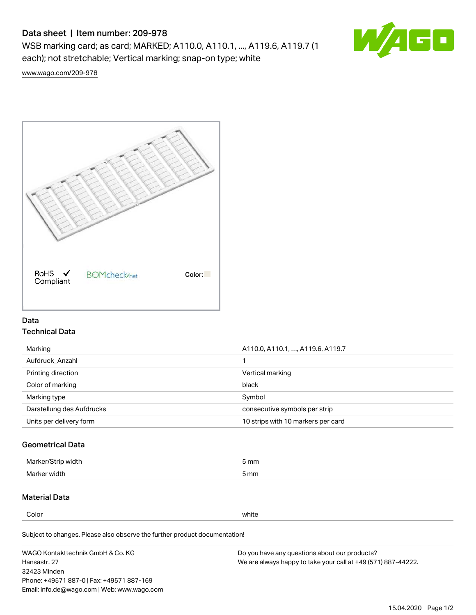# Data sheet | Item number: 209-978

WSB marking card; as card; MARKED; A110.0, A110.1, ..., A119.6, A119.7 (1 each); not stretchable; Vertical marking; snap-on type; white



[www.wago.com/209-978](http://www.wago.com/209-978)



## Data Technical Data

| Marking                   | A110.0, A110.1, , A119.6, A119.7   |
|---------------------------|------------------------------------|
| Aufdruck Anzahl           |                                    |
| Printing direction        | Vertical marking                   |
| Color of marking          | black                              |
| Marking type              | Symbol                             |
| Darstellung des Aufdrucks | consecutive symbols per strip      |
| Units per delivery form   | 10 strips with 10 markers per card |

## Geometrical Data

| طلقاء ئ<br><b>Marker</b><br>widtr | ັກmm |
|-----------------------------------|------|
| Marker width                      | 5 mm |

## Material Data

Color white

Subject to changes. Please also observe the further product documentation!

WAGO Kontakttechnik GmbH & Co. KG Hansastr. 27 32423 Minden Phone: +49571 887-0 | Fax: +49571 887-169 Email: info.de@wago.com | Web: www.wago.com Do you have any questions about our products? We are always happy to take your call at +49 (571) 887-44222.